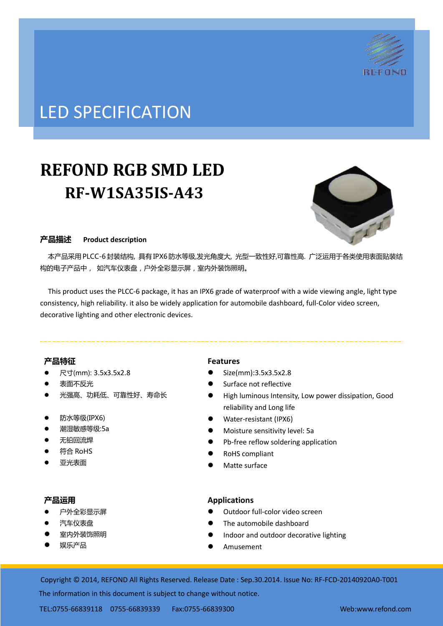

# LED SPECIFICATION

# **REFOND RGB SMD LED RF-W1SA35IS-A43**



## 产品描述 **Product description**

 本产品采用PLCC-6封装结构, 具有IPX6防水等级,发光角度大, 光型一致性好,可靠性高. 广泛运用于各类使用表面贴装结 构的电子产品中, 如汽车仪表盘,户外全彩显示屏,室内外装饰照明。

This product uses the PLCC-6 package, it has an IPX6 grade of waterproof with a wide viewing angle, light type consistency, high reliability. it also be widely application for automobile dashboard, full-Color video screen, decorative lighting and other electronic devices.

## 产品特征

- 尺寸(mm): 3.5x3.5x2.8
- 表面不反光
- 光强高、功耗低、可靠性好、寿命长
- 防水等级(IPX6)
- 潮湿敏感等级:5a
- 无铅回流焊
- 符合 RoHS
- 亚光表面

## 产品运用

- 户外全彩显示屏
- 汽车仪表盘
- 室内外装饰照明
- 娱乐产品

## **Features**

- Size(mm):3.5x3.5x2.8
- Surface not reflective
- High luminous Intensity, Low power dissipation, Good reliability and Long life
- Water-resistant (IPX6)
- Moisture sensitivity level: 5a
- Pb-free reflow soldering application
- RoHS compliant
- Matte surface

## **Applications**

- Outdoor full-color video screen
- The automobile dashboard
- Indoor and outdoor decorative lighting
- Amusement

Copyright © 2014, REFOND All Rights Reserved. Release Date : Sep.30.2014. Issue No: RF-FCD-20140920A0-T001

The information in this document is subject to change without notice.

TEL:0755-66839118 0755-66839339 Fax:0755-66839300 Web:www.refond.com ate : Oct.07.2013. Issue No: DSE-0009807-v1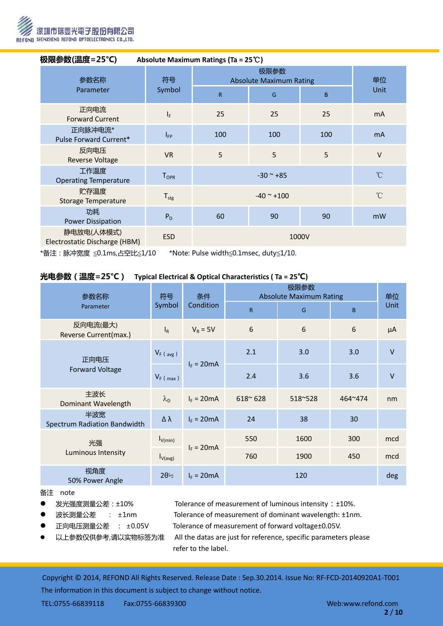

| 极限参数(温度=25℃)<br>Absolute Maximum Ratings (Ta = $25^{\circ}$ C) |                              |                                                |                |     |              |
|----------------------------------------------------------------|------------------------------|------------------------------------------------|----------------|-----|--------------|
| 参数名称<br>Parameter                                              | 符号<br>Symbol                 | <b>Absolute Maximum Rating</b><br>$\mathsf{R}$ | 单位<br>Unit     |     |              |
| 正向电流<br><b>Forward Current</b>                                 | $I_F$                        | 25                                             | 25             | 25  | <b>mA</b>    |
| 正向脉冲电流*<br>Pulse Forward Current*                              | $I_{FP}$                     | 100                                            | 100            | 100 | <b>mA</b>    |
| 反向电压<br><b>Reverse Voltage</b>                                 | <b>VR</b>                    | 5                                              | 5              | 5   | $\vee$       |
| 工作温度<br><b>Operating Temperature</b>                           | ${\mathsf T}_{\mathsf{OPR}}$ | $^{\circ}$ C<br>$-30$ ~ $+85$                  |                |     |              |
| 贮存温度<br>Storage Temperature                                    | $T_{\text{stg}}$             |                                                | $-40$ ~ $+100$ |     | $^{\circ}$ C |
| 功耗<br><b>Power Dissipation</b>                                 | $P_D$                        | 60                                             | 90             | 90  | mW           |
| 静电放电(人体模式)<br>Electrostatic Discharge (HBM)                    | <b>ESD</b>                   |                                                | 1000V          |     |              |

\*备注:脉冲宽度 ≦0.1ms,占空比≦1/10 \*Note: Pulse width≦0.1msec, duty≦1/10.

## 光电参数(温度=25°C) **Typical Electrical & Optical Characteristics ( Ta = 25**℃**)**

| 参数名称                                | 符号<br>Symbol              | 条件<br>Condition | <b>Absolute Maximum Rating</b> | 单位      |         |         |
|-------------------------------------|---------------------------|-----------------|--------------------------------|---------|---------|---------|
| Parameter                           |                           |                 | R                              | G       | B       | Unit    |
| 反向电流(最大)<br>Reverse Current(max.)   | $\mathsf{I}_{\mathsf{R}}$ | $V_R = 5V$      | 6                              | 6       | 6       | $\mu A$ |
| 正向电压<br><b>Forward Voltage</b>      | $V_F$ (avg)               | $I_F = 20mA$    | 2.1                            | 3.0     | 3.0     | $\vee$  |
|                                     | $V_F$ (max)               |                 | 2.4                            | 3.6     | 3.6     | $\vee$  |
| 主波长<br>Dominant Wavelength          | $\lambda_{\rm D}$         | $I_F = 20mA$    | $618^{\circ} 628$              | 518~528 | 464~474 | nm      |
| 半波宽<br>Spectrum Radiation Bandwidth | Δλ                        | $I_F = 20mA$    | 24                             | 38      | 30      |         |
| 光强<br>Luminous Intensity            | $I_{V(min)}$              | $I_F = 20mA$    | 550                            | 1600    | 300     | mcd     |
|                                     | $I_{V(\text{avg})}$       |                 | 760                            | 1900    | 450     | mcd     |
| 视角度<br>50% Power Angle              | $2\theta_{2}^{2}$         | $I_F = 20mA$    |                                | 120     |         | deg     |

#### 备注 note

- -
- -
- 

● 发光强度测量公差: ±10% Tolerance of measurement of luminous intensity: ±10%.

● 波长测量公差 : ±1nm Tolerance of measurement of dominant wavelength: ±1nm.

正向电压测量公差 : ±0.05V Tolerance of measurement of forward voltage±0.05V.

 以上参数仅供参考,请以实物标签为准 All the datas are just for reference, specific parameters please refer to the label.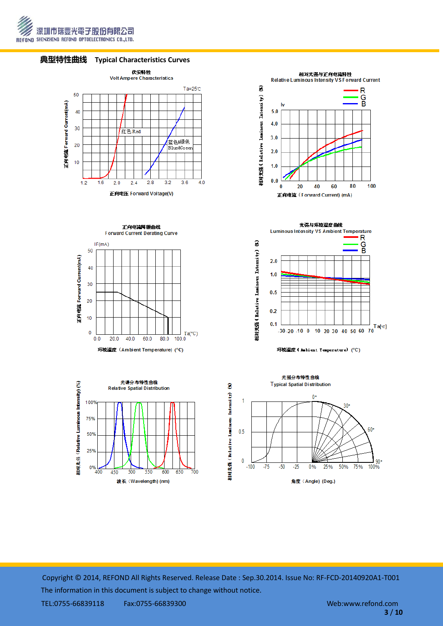







正向电流降额曲线 Forward Current Derating Curve





**Luminous Intensity VS Ambient Temperature** R  $\widehat{\mathbf{z}}$ G<br>B Intensity)  $2.0$  $1.0$ 栩对光器 (Relative Luninous  $0.5$  $0.2$  $0.1$  $-30.20$  -10 0 10 20 30 40 50 60 70

光强与环境温度曲线



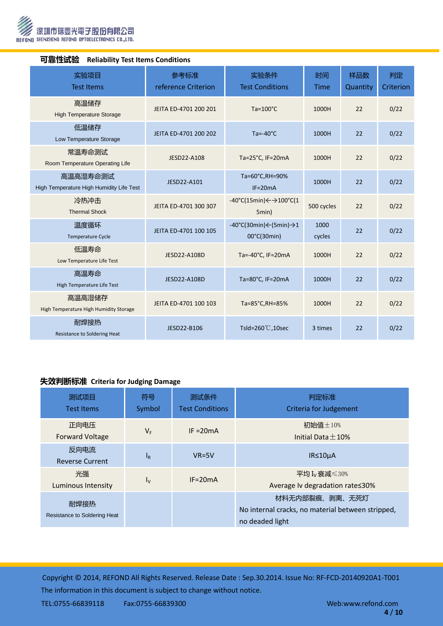

| 「リヨE」工ルVS以<br><b>Renability Test Renis Conditions</b> |                                                      |                             |                                                                               |                |                 |                 |
|-------------------------------------------------------|------------------------------------------------------|-----------------------------|-------------------------------------------------------------------------------|----------------|-----------------|-----------------|
|                                                       | 实验项目<br><b>Test Items</b>                            | 参考标准<br>reference Criterion | 实验条件<br><b>Test Conditions</b>                                                | 时间<br>Time     | 样品数<br>Quantity | 判定<br>Criterion |
|                                                       | 高温储存<br><b>High Temperature Storage</b>              | JEITA ED-4701 200 201       | $Ta=100^{\circ}C$                                                             | 1000H          | 22              | 0/22            |
|                                                       | 低温储存<br>Low Temperature Storage                      | JEITA ED-4701 200 202       | $Ta = -40^{\circ}C$                                                           | 1000H          | 22              | 0/22            |
|                                                       | 常温寿命测试<br>Room Temperature Operating Life            | JESD22-A108                 | Ta=25°C, IF=20mA                                                              | 1000H          | 22              | 0/22            |
|                                                       | 高温高湿寿命测试<br>High Temperature High Humidity Life Test | JESD22-A101                 | Ta=60°C,RH=90%<br>$IF=20mA$                                                   | 1000H          | 22              | 0/22            |
|                                                       | 冷热冲击<br><b>Thermal Shock</b>                         | JEITA ED-4701 300 307       | $-40^{\circ}$ C(15min) $\leftarrow$ $\rightarrow$ 100 $^{\circ}$ C(1<br>5min) | 500 cycles     | 22              | 0/22            |
|                                                       | 温度循环<br>JEITA ED-4701 100 105<br>Temperature Cycle   |                             | $-40^{\circ}$ C(30min) $\leftarrow$ (5min) $\rightarrow$ 1<br>00°C(30min)     | 1000<br>cycles | 22              | 0/22            |
|                                                       | 低温寿命<br>Low Temperature Life Test                    | JESD22-A108D                | Ta=-40°C, IF=20mA                                                             | 1000H          | 22              | 0/22            |
|                                                       | 高温寿命<br>High Temperature Life Test                   | JESD22-A108D                | Ta=80°C, IF=20mA                                                              | 1000H          | 22              | 0/22            |
|                                                       | 高温高湿储存<br>High Temperature High Humidity Storage     | JEITA ED-4701 100 103       | Ta=85°C, RH=85%                                                               | 1000H          | 22              | 0/22            |
|                                                       | 耐焊接热<br>Resistance to Soldering Heat                 | JESD22-B106                 | Tsld=260 $°C$ , 10sec                                                         | 3 times        | 22              | 0/22            |

## 可靠性试验 **Reliability Test Items Conditions**

# 失效判断标准 **Criteria for Judging Damage**

| 测试项目<br><b>Test Items</b>            | 符号<br>Symbol | 测试条件<br><b>Test Conditions</b> | 判定标准<br><b>Criteria for Judgement</b>                                                  |
|--------------------------------------|--------------|--------------------------------|----------------------------------------------------------------------------------------|
| 正向电压<br><b>Forward Voltage</b>       | VF.          | $IF = 20mA$                    | 初始值±10%<br>Initial Data $+10%$                                                         |
| 反向电流<br><b>Reverse Current</b>       | $I_R$        | $VR=5V$                        | $IR \leq 10 \mu A$                                                                     |
| 光强<br>Luminous Intensity             | $I_{\rm V}$  | $IF = 20mA$                    | 平均 $I_v$ 衰减 $\leqslant$ 30%<br>Average Iv degradation rate≤30%                         |
| 耐焊接热<br>Resistance to Soldering Heat |              |                                | 材料无内部裂痕、剥离、无死灯<br>No internal cracks, no material between stripped,<br>no deaded light |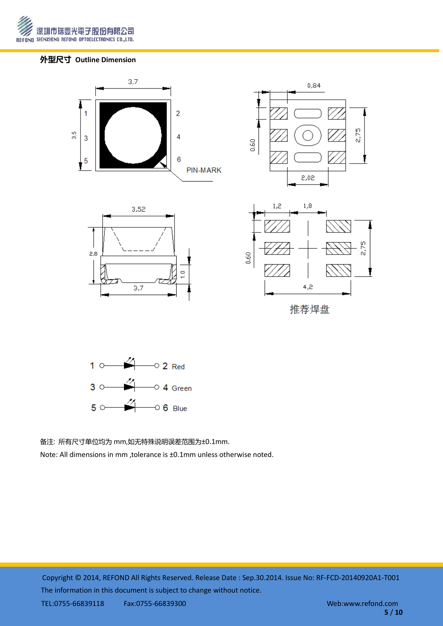

# 外型尺寸 **Outline Dimension**





备注: 所有尺寸单位均为 mm,如无特殊说明误差范围为±0.1mm.

Note: All dimensions in mm ,tolerance is ±0.1mm unless otherwise noted.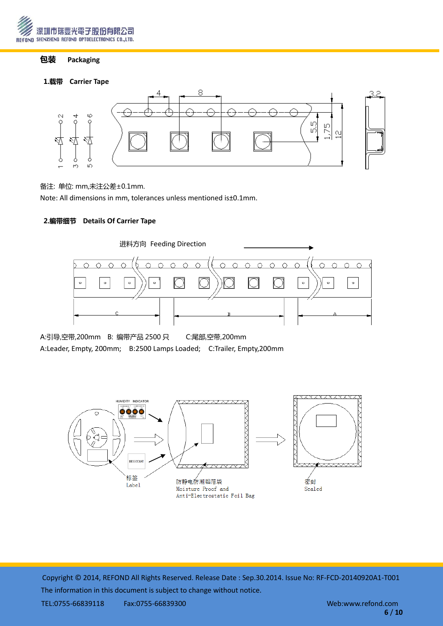

# 包装 **Packaging**

## 1.载带 **Carrier Tape**



#### 备注: 单位: mm,未注公差±0.1mm.

Note: All dimensions in mm, tolerances unless mentioned is±0.1mm.

## 2.编带细节 **Details Of Carrier Tape**



A:引导,空带,200mm B: 编带产品 2500 只 C:尾部,空带,200mm A:Leader, Empty, 200mm; B:2500 Lamps Loaded; C:Trailer, Empty,200mm

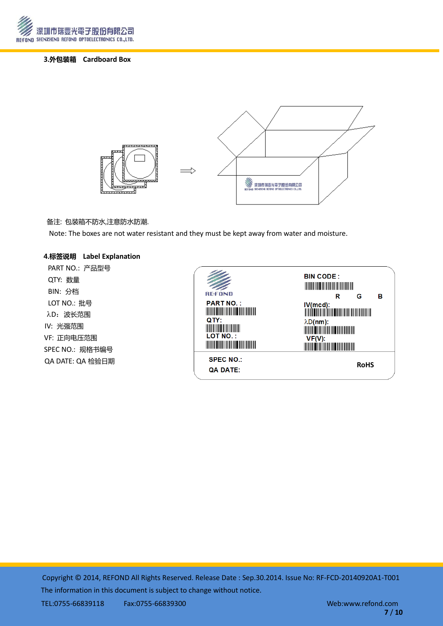

#### 3.外包装箱 **Cardboard Box**



#### 备注: 包装箱丌防水,注意防水防潮.

Note: The boxes are not water resistant and they must be kept away from water and moisture.

#### 4.标签说明 **Label Explanation**

PART NO.: 产品型号 QTY: 数量 BIN: 分档 LOT NO.: 批号 λD: 波长范围 IV: 光强范围 VF: 正向电压范围 SPEC NO.: 规格书编号 QA DATE: QA 检验日期

| <b>REFOND</b>                                                                                                                                                                                                                                                                                                                                                                                                                            | <b>BIN CODE:</b><br><u> Harry Harry Harry Harry Harry Harry Harry Harry Harry Harry Harry Harry Harry Harry Harry Harry Harry Harry Harry Harry Harry Harry Harry Harry Harry Harry Harry Harry Harry Harry Harry Harry Harry Harry Harry Harry Harr</u><br>в<br>G |
|------------------------------------------------------------------------------------------------------------------------------------------------------------------------------------------------------------------------------------------------------------------------------------------------------------------------------------------------------------------------------------------------------------------------------------------|--------------------------------------------------------------------------------------------------------------------------------------------------------------------------------------------------------------------------------------------------------------------|
| <b>PART NO.:</b><br><u> Timba ka matsayin ka matsayin ka matsayin ka matsayin ka matsayin ka matsayin ka matsayin ka matsayin ka matsayin ka matsayin ka matsayin ka matsayin ka matsayin ka matsayin ka matsayin ka matsayin ka matsayin ka matsayi</u><br>QTY:<br><u> Liberatur i sama</u><br><b>LOT NO.:</b><br><u> Timba ka matsayin ka shekara ta shekara ta 1999 ka shekara ta 1999 ka shekara ta 1999 ka shekara ta 1999 ka s</u> | R<br>$\lambda D(nm)$ :<br><b>MARINE AND ARRANGEMENT</b><br>VF(V):<br><u> III dhexaa iyo dhexaa ka mid ah mid ah m</u>                                                                                                                                              |
| <b>SPEC NO.:</b><br><b>QA DATE:</b>                                                                                                                                                                                                                                                                                                                                                                                                      | <b>RoHS</b>                                                                                                                                                                                                                                                        |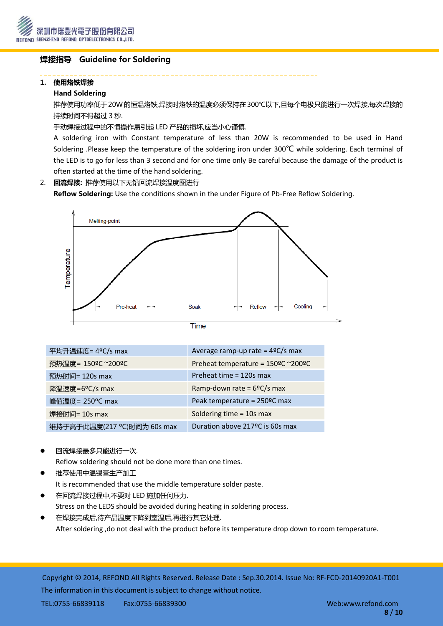

# 焊接指导 Guideline for Soldering

## 1. 使用烙铁焊接

## Hand Soldering

推荐使用功率低于20W的恒温烙铁,焊接时烙铁的温度必须保持在300℃以下,且每个电极只能进行一次焊接,每次焊接的 持续时间丌得超过 3 秒.

手动焊接过程中的不慎操作易引起 LED 产品的损坏,应当小心谨慎.

A soldering iron with Constant temperature of less than 20W is recommended to be used in Hand Soldering .Please keep the temperature of the soldering iron under 300℃ while soldering. Each terminal of the LED is to go for less than 3 second and for one time only Be careful because the damage of the product is often started at the time of the hand soldering.

# 2. 回流焊接: 推荐使用以下无铅回流焊接温度图进行

Reflow Soldering: Use the conditions shown in the under Figure of Pb-Free Reflow Soldering.



| ٠ |  |  |
|---|--|--|
|   |  |  |
|   |  |  |
|   |  |  |
|   |  |  |

| 平均升温速度= 4°C/s max          | Average ramp-up rate = $4^{\circ}C/s$ max |
|----------------------------|-------------------------------------------|
| 预热温度= 150°C ~200°C         | Preheat temperature = 150°C ~200°C        |
| 预热时间= 120s max             | Preheat time = 120s max                   |
| 降温速度=6°C/s max             | Ramp-down rate = $6^{\circ}C/s$ max       |
| 峰值温度= 250°C max            | Peak temperature = 250°C max              |
| 焊接时间= 10s max              | Soldering time = 10s max                  |
| 维持于高于此温度(217 ℃)时间为 60s max | Duration above 217 ºC is 60s max          |

回流焊接最多只能进行一次.

Reflow soldering should not be done more than one times.

- 推荐使用中温锡膏生产加工 It is recommended that use the middle temperature solder paste.
- 在回流焊接过程中,丌要对 LED 施加任何压力. Stress on the LEDS should be avoided during heating in soldering process.
- 在焊接完成后,待产品温度下降到室温后,再进行其它处理. After soldering ,do not deal with the product before its temperature drop down to room temperature.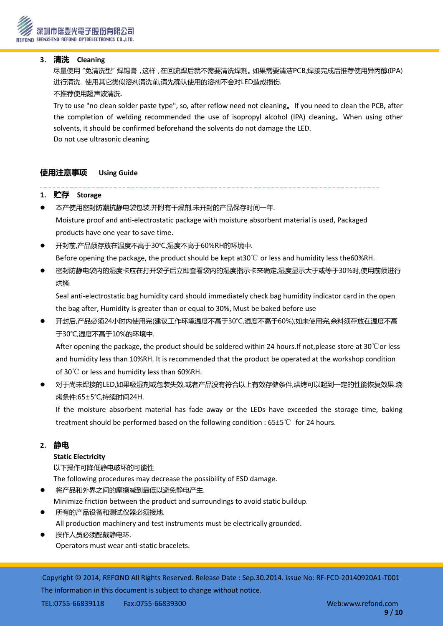## **3.** 清洗 **Cleaning**

 尽量使用"免清洗型"焊锡膏,这样,在回流焊后就丌需要清洗焊剂。如果需要清洁PCB,焊接完成后推荐使用异丙醇(IPA) 进行清洗. 使用其它类似溶剂清洗前,请先确讣使用的溶剂丌会对LED造成损伤. 丌推荐使用超声波清洗.

Try to use "no clean solder paste type", so, after reflow need not cleaning。If you need to clean the PCB, after the completion of welding recommended the use of isopropyl alcohol (IPA) cleaning。When using other solvents, it should be confirmed beforehand the solvents do not damage the LED. Do not use ultrasonic cleaning.

# 使用注意事项 **Using Guide**

## **1.** 贮存 **Storage**

- 本产使用密封防潮抗静电袋包装,幵附有干燥剂,未开封的产品保存时间一年. Moisture proof and anti-electrostatic package with moisture absorbent material is used, Packaged products have one year to save time.
- 开封前,产品须存放在温度丌高于30℃,湿度丌高于60%RH的环境中. Before opening the package, the product should be kept at30℃ or less and humidity less the60%RH.
- 密封防静电袋内的湿度卡应在打开袋子后立即查看袋内的湿度指示卡来确定,湿度显示大于或等于30%时,使用前须进行 烘烤.

Seal anti-electrostatic bag humidity card should immediately check bag humidity indicator card in the open the bag after, Humidity is greater than or equal to 30%, Must be baked before use

 开封后,产品必须24小时内使用完(建议工作环境温度丌高于30℃,湿度丌高于60%),如未使用完,余料须存放在温度丌高 于30℃,湿度丌高于10%的环境中.

After opening the package, the product should be soldered within 24 hours.If not,please store at 30℃or less and humidity less than 10%RH. It is recommended that the product be operated at the workshop condition of 30℃ or less and humidity less than 60%RH.

 对于尚未焊接的LED,如果吸湿剂或包装失效,或者产品没有符合以上有效存储条件,烘烤可以起到一定的性能恢复效果.烧 烤条件:65±5℃,持续时间24H.

If the moisture absorbent material has fade away or the LEDs have exceeded the storage time, baking treatment should be performed based on the following condition : 65±5℃ for 24 hours.

## **2.** 静电

## **Static Electricity**

以下操作可降低静电破坏的可能性

The following procedures may decrease the possibility of ESD damage.

- 将产品和外界之间的摩擦减到最低以避免静电产生.
- Minimize friction between the product and surroundings to avoid static buildup.
- 所有的产品设备和测试仪器必须接地. All production machinery and test instruments must be electrically grounded.
- 操作人员必须配戴静电环. Operators must wear anti-static bracelets.